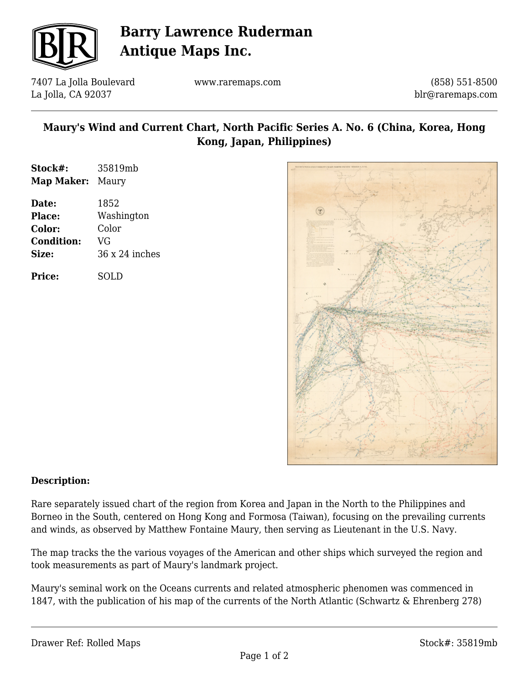

# **Barry Lawrence Ruderman Antique Maps Inc.**

7407 La Jolla Boulevard La Jolla, CA 92037

www.raremaps.com

(858) 551-8500 blr@raremaps.com

### **Maury's Wind and Current Chart, North Pacific Series A. No. 6 (China, Korea, Hong Kong, Japan, Philippines)**

| Stock#:           | 35819mb               |
|-------------------|-----------------------|
| Map Maker:        | Maury                 |
| Date:             | 1852                  |
| <b>Place:</b>     | Washington            |
| Color:            | Color                 |
| <b>Condition:</b> | VG                    |
| Size:             | $36 \times 24$ inches |
|                   |                       |

**Price:** SOLD



#### **Description:**

Rare separately issued chart of the region from Korea and Japan in the North to the Philippines and Borneo in the South, centered on Hong Kong and Formosa (Taiwan), focusing on the prevailing currents and winds, as observed by Matthew Fontaine Maury, then serving as Lieutenant in the U.S. Navy.

The map tracks the the various voyages of the American and other ships which surveyed the region and took measurements as part of Maury's landmark project.

Maury's seminal work on the Oceans currents and related atmospheric phenomen was commenced in 1847, with the publication of his map of the currents of the North Atlantic (Schwartz & Ehrenberg 278)